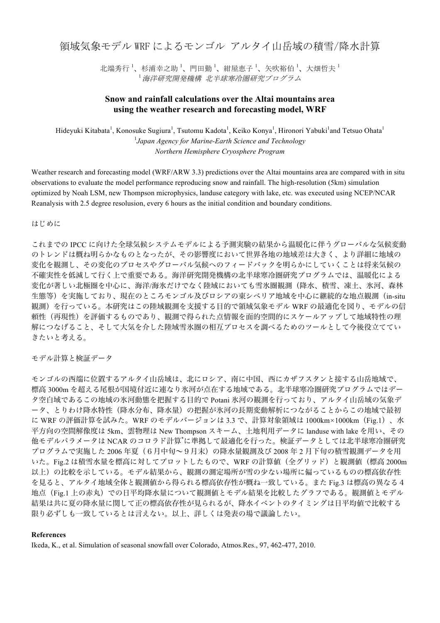領域気象モデル WRF によるモンゴル アルタイ山岳域の積雪/降水計算

北端秀行<sup>1</sup>、杉浦幸之助<sup>1</sup>、門田勤<sup>1</sup>、紺屋恵子<sup>1</sup>、矢吹裕伯<sup>1</sup>、大畑哲夫<sup>1</sup> <sup>1</sup>海洋研究開発機構 北半球寒冷圏研究プログラム

## **Snow and rainfall calculations over the Altai mountains area using the weather research and forecasting model, WRF**

Hideyuki Kitabata<sup>1</sup>, Konosuke Sugiura<sup>1</sup>, Tsutomu Kadota<sup>1</sup>, Keiko Konya<sup>1</sup>, Hironori Yabuki<sup>1</sup>and Tetsuo Ohata<sup>1</sup> 1 *Japan Agency for Marine-Earth Science and Technology Northern Hemisphere Cryosphere Program*

Weather research and forecasting model (WRF/ARW 3.3) predictions over the Altai mountains area are compared with in situ observations to evaluate the model performance reproducing snow and rainfall. The high-resolution (5km) simulation optimized by Noah LSM, new Thompson microphysics, landuse category with lake, etc. was executed using NCEP/NCAR Reanalysis with 2.5 degree resolusion, every 6 hours as the initial condition and boundary conditions.

はじめに

これまでの IPCC に向けた全球気候システムモデルによる予測実験の結果から温暖化に伴うグローバルな気候変動 のトレンドは概ね明らかなものとなったが、その影響度において世界各地の地域差は大きく、より詳細に地域の 変化を観測し、その変化のプロセスやグローバル気候へのフィードバックを明らかにしていくことは将来気候の 不確実性を低減して行く上で重要である。海洋研究開発機構の北半球寒冷圏研究プログラムでは、温暖化による 変化が著しい北極圏を中心に、海洋/海氷だけでなく陸域においても雪氷圏観測(降水、積雪、凍土、氷河、森林 生態等)を実施しており、現在のところモンゴル及びロシアの東シベリア地域を中心に継続的な地点観測(in-situ 観測)を行っている。本研究はこの陸域観測を支援する目的で領域気象モデル WRF の最適化を図り、モデルの信 頼性(再現性)を評価するものであり、観測で得られた点情報を面的空間的にスケールアップして地域特性の理 解につなげること、そして大気を介した陸域雪氷圏の相互プロセスを調べるためのツールとして今後役立ててい きたいと考える。

モデル計算と検証データ

モンゴルの西端に位置するアルタイ山岳域は、北にロシア、南に中国、西にカザフスタンと接する山岳地域で、 標高 3000m を超える尾根が国境付近に連なり氷河が点在する地域である。北半球寒冷圏研究プログラムではデー タ空白域であるこの地域の氷河動態を把握する目的で Potani 氷河の観測を行っており、アルタイ山岳域の気象デ ータ、とりわけ降水特性(降水分布、降水量)の把握が氷河の長期変動解析につながることからこの地域で最初 に WRF の評価計算を試みた。WRF のモデルバージョンは 3.3 で、計算対象領域は 1000km×1000km(Fig.1)、水 平方向の空間解像度は 5km、雲物理は New Thompson スキーム、土地利用データに landuse with lake を用い、その 他モデルパラメータは NCAR のコロラド計算\* に準拠して最適化を行った。検証データとしては北半球寒冷圏研究 プログラムで実施した 2006 年夏(6月中旬~9月末)の降水量観測及び 2008 年 2 月下旬の積雪観測データを用 いた。Fig.2 は積雪水量を標高に対してプロットしたもので、WRF の計算値(全グリッド)と観測値(標高 2000m 以上)の比較を示している。モデル結果から、観測の測定場所が雪の少ない場所に偏っているものの標高依存性 を見ると、アルタイ地域全体と観測値から得られる標高依存性が概ね一致している。また Fig.3 は標高の異なる4 地点(Fig.1 上の赤丸)での日平均降水量について観測値とモデル結果を比較したグラフである。観測値とモデル 結果は共に夏の降水量に関して正の標高依存性が見られるが、降水イベントのタイミングは日平均値で比較する 限り必ずしも一致しているとは言えない。以上、詳しくは発表の場で議論したい。

## **References**

Ikeda, K., et al. Simulation of seasonal snowfall over Colorado, Atmos.Res., 97, 462-477, 2010.